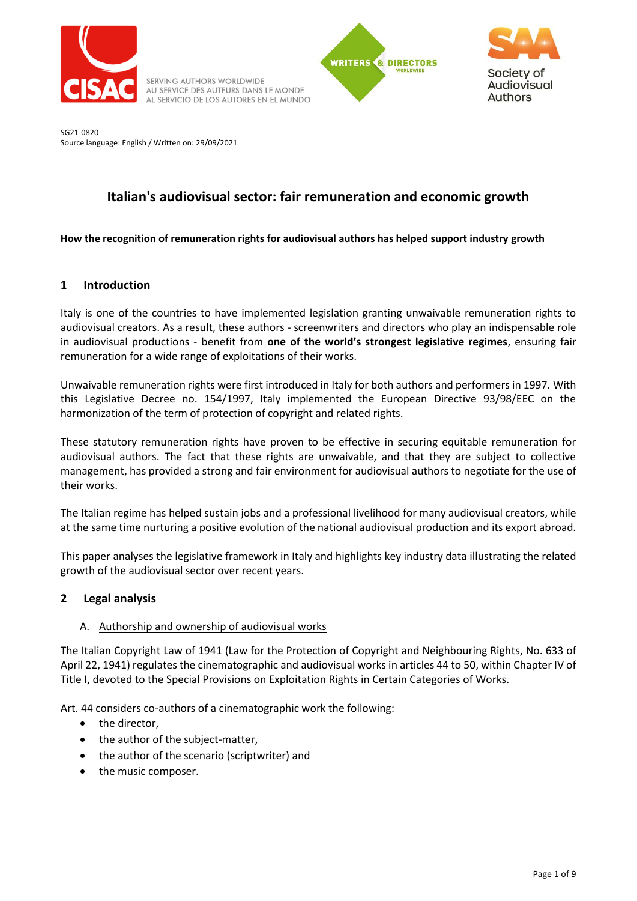

SERVING AUTHORS WORLDWIDE AU SERVICE DES AUTEURS DANS LE MONDE AL SERVICIO DE LOS AUTORES EN EL MUNDO





SG21-0820 Source language: English / Written on: 29/09/2021

# **Italian's audiovisual sector: fair remuneration and economic growth**

# **How the recognition of remuneration rights for audiovisual authors has helped support industry growth**

# **1 Introduction**

Italy is one of the countries to have implemented legislation granting unwaivable remuneration rights to audiovisual creators. As a result, these authors - screenwriters and directors who play an indispensable role in audiovisual productions - benefit from **one of the world's strongest legislative regimes**, ensuring fair remuneration for a wide range of exploitations of their works.

Unwaivable remuneration rights were first introduced in Italy for both authors and performers in 1997. With this Legislative Decree no. 154/1997, Italy implemented the European Directive 93/98/EEC on the harmonization of the term of protection of copyright and related rights.

These statutory remuneration rights have proven to be effective in securing equitable remuneration for audiovisual authors. The fact that these rights are unwaivable, and that they are subject to collective management, has provided a strong and fair environment for audiovisual authors to negotiate for the use of their works.

The Italian regime has helped sustain jobs and a professional livelihood for many audiovisual creators, while at the same time nurturing a positive evolution of the national audiovisual production and its export abroad.

This paper analyses the legislative framework in Italy and highlights key industry data illustrating the related growth of the audiovisual sector over recent years.

# **2 Legal analysis**

# A. Authorship and ownership of audiovisual works

The Italian Copyright Law of 1941 (Law for the Protection of Copyright and Neighbouring Rights, No. 633 of April 22, 1941) regulates the cinematographic and audiovisual works in articles 44 to 50, within Chapter IV of Title I, devoted to the Special Provisions on Exploitation Rights in Certain Categories of Works.

Art. 44 considers co-authors of a cinematographic work the following:

- the director,
- the author of the subject-matter,
- the author of the scenario (scriptwriter) and
- the music composer.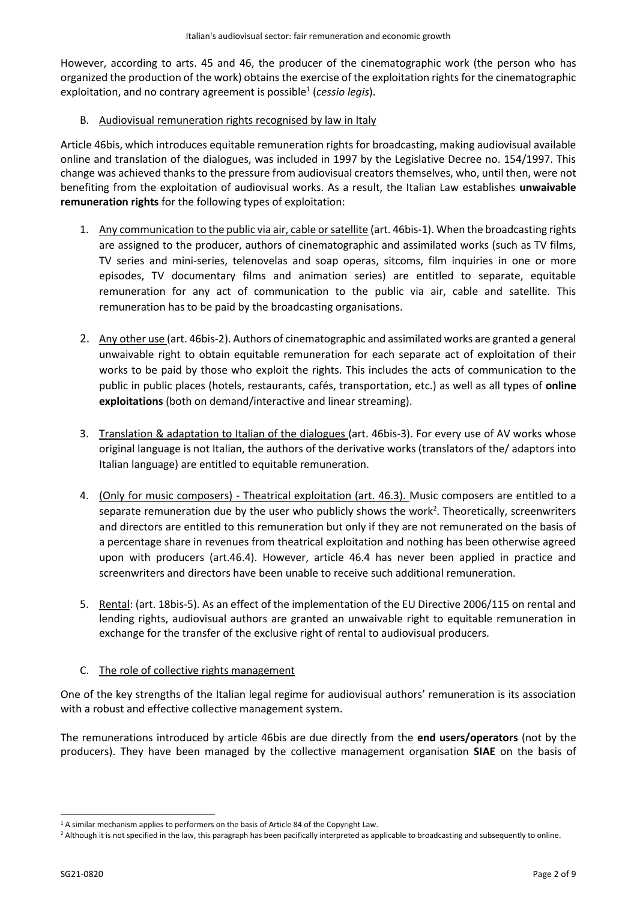However, according to arts. 45 and 46, the producer of the cinematographic work (the person who has organized the production of the work) obtains the exercise of the exploitation rights for the cinematographic exploitation, and no contrary agreement is possible<sup>1</sup> (cessio legis).

### B. Audiovisual remuneration rights recognised by law in Italy

Article 46bis, which introduces equitable remuneration rights for broadcasting, making audiovisual available online and translation of the dialogues, was included in 1997 by the Legislative Decree no. 154/1997. This change was achieved thanks to the pressure from audiovisual creators themselves, who, until then, were not benefiting from the exploitation of audiovisual works. As a result, the Italian Law establishes **unwaivable remuneration rights** for the following types of exploitation:

- 1. Any communication to the public via air, cable or satellite (art. 46bis-1). When the broadcasting rights are assigned to the producer, authors of cinematographic and assimilated works (such as TV films, TV series and mini-series, telenovelas and soap operas, sitcoms, film inquiries in one or more episodes, TV documentary films and animation series) are entitled to separate, equitable remuneration for any act of communication to the public via air, cable and satellite. This remuneration has to be paid by the broadcasting organisations.
- 2. Any other use (art. 46bis-2). Authors of cinematographic and assimilated works are granted a general unwaivable right to obtain equitable remuneration for each separate act of exploitation of their works to be paid by those who exploit the rights. This includes the acts of communication to the public in public places (hotels, restaurants, cafés, transportation, etc.) as well as all types of **online exploitations** (both on demand/interactive and linear streaming).
- 3. Translation & adaptation to Italian of the dialogues (art. 46bis-3). For every use of AV works whose original language is not Italian, the authors of the derivative works (translators of the/ adaptors into Italian language) are entitled to equitable remuneration.
- 4. (Only for music composers) Theatrical exploitation (art. 46.3). Music composers are entitled to a separate remuneration due by the user who publicly shows the work<sup>2</sup>. Theoretically, screenwriters and directors are entitled to this remuneration but only if they are not remunerated on the basis of a percentage share in revenues from theatrical exploitation and nothing has been otherwise agreed upon with producers (art.46.4). However, article 46.4 has never been applied in practice and screenwriters and directors have been unable to receive such additional remuneration.
- 5. Rental: (art. 18bis-5). As an effect of the implementation of the EU Directive 2006/115 on rental and lending rights, audiovisual authors are granted an unwaivable right to equitable remuneration in exchange for the transfer of the exclusive right of rental to audiovisual producers.

# C. The role of collective rights management

One of the key strengths of the Italian legal regime for audiovisual authors' remuneration is its association with a robust and effective collective management system.

The remunerations introduced by article 46bis are due directly from the **end users/operators** (not by the producers). They have been managed by the collective management organisation **SIAE** on the basis of

<sup>&</sup>lt;sup>1</sup> A similar mechanism applies to performers on the basis of Article 84 of the Copyright Law.

<sup>&</sup>lt;sup>2</sup> Although it is not specified in the law, this paragraph has been pacifically interpreted as applicable to broadcasting and subsequently to online.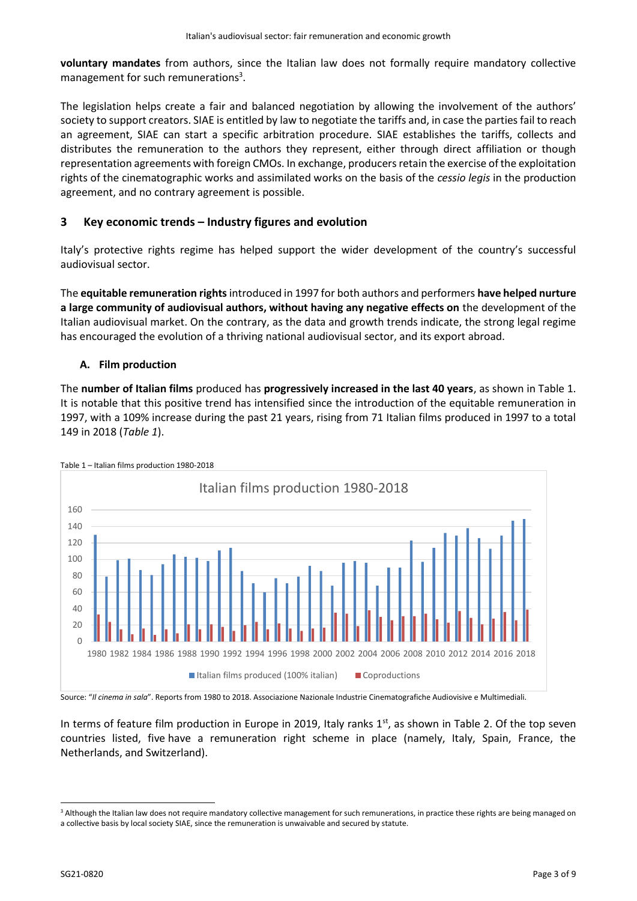**voluntary mandates** from authors, since the Italian law does not formally require mandatory collective management for such remunerations<sup>3</sup>.

The legislation helps create a fair and balanced negotiation by allowing the involvement of the authors' society to support creators. SIAE is entitled by law to negotiate the tariffs and, in case the parties fail to reach an agreement, SIAE can start a specific arbitration procedure. SIAE establishes the tariffs, collects and distributes the remuneration to the authors they represent, either through direct affiliation or though representation agreements with foreign CMOs. In exchange, producers retain the exercise of the exploitation rights of the cinematographic works and assimilated works on the basis of the *cessio legis* in the production agreement, and no contrary agreement is possible.

# **3 Key economic trends – Industry figures and evolution**

Italy's protective rights regime has helped support the wider development of the country's successful audiovisual sector.

The **equitable remuneration rights**introduced in 1997 for both authors and performers **have helped nurture a large community of audiovisual authors, without having any negative effects on** the development of the Italian audiovisual market. On the contrary, as the data and growth trends indicate, the strong legal regime has encouraged the evolution of a thriving national audiovisual sector, and its export abroad.

### **A. Film production**

The **number of Italian films** produced has **progressively increased in the last 40 years**, as shown in Table 1. It is notable that this positive trend has intensified since the introduction of the equitable remuneration in 1997, with a 109% increase during the past 21 years, rising from 71 Italian films produced in 1997 to a total 149 in 2018 (*Table 1*).



Table 1 – Italian films production 1980-2018

Source: "*Il cinema in sala*". Reports from 1980 to 2018. Associazione Nazionale Industrie Cinematografiche Audiovisive e Multimediali.

In terms of feature film production in Europe in 2019, Italy ranks 1<sup>st</sup>, as shown in Table 2. Of the top seven countries listed, five have a remuneration right scheme in place (namely, Italy, Spain, France, the Netherlands, and Switzerland).

<sup>&</sup>lt;sup>3</sup> Although the Italian law does not require mandatory collective management for such remunerations, in practice these rights are being managed on a collective basis by local society SIAE, since the remuneration is unwaivable and secured by statute.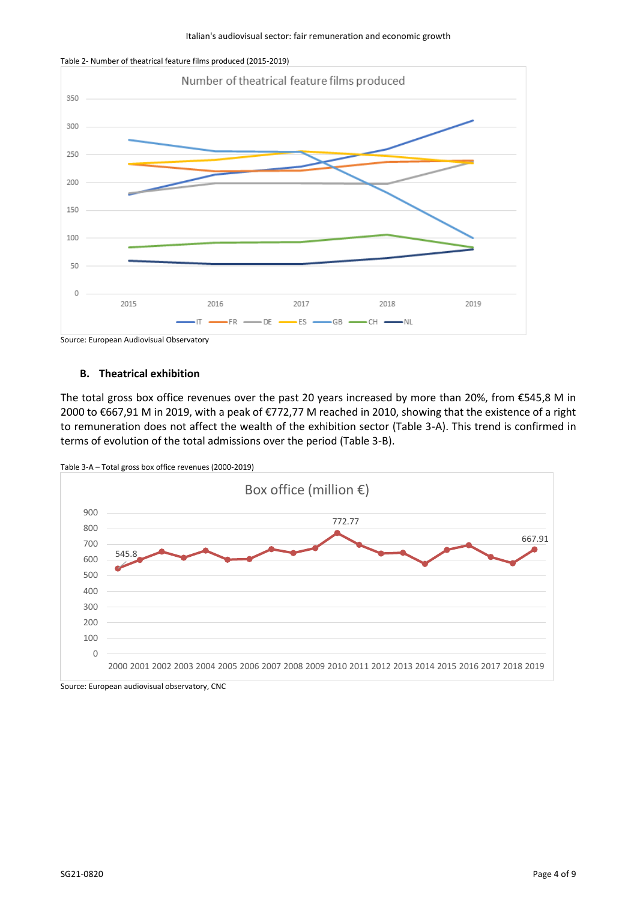



Source: European Audiovisual Observatory

#### **B. Theatrical exhibition**

The total gross box office revenues over the past 20 years increased by more than 20%, from €545,8 M in 2000 to €667,91 M in 2019, with a peak of €772,77 M reached in 2010, showing that the existence of a right to remuneration does not affect the wealth of the exhibition sector (Table 3-A). This trend is confirmed in terms of evolution of the total admissions over the period (Table 3-B).



```
Source: European audiovisual observatory, CNC
```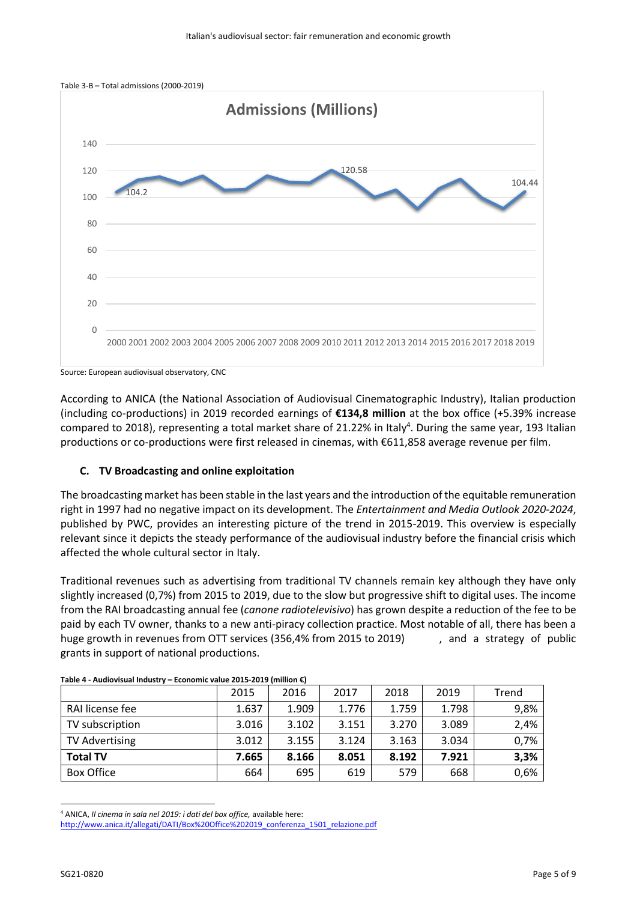

Source: European audiovisual observatory, CNC

According to ANICA (the National Association of Audiovisual Cinematographic Industry), Italian production (including co-productions) in 2019 recorded earnings of **€134,8 million** at the box office (+5.39% increase compared to 2018), representing a total market share of 21.22% in Italy<sup>4</sup>. During the same year, 193 Italian productions or co-productions were first released in cinemas, with €611,858 average revenue per film.

#### **C. TV Broadcasting and online exploitation**

The broadcasting market has been stable in the last years and the introduction of the equitable remuneration right in 1997 had no negative impact on its development. The *Entertainment and Media Outlook 2020-2024*, published by PWC, provides an interesting picture of the trend in 2015-2019. This overview is especially relevant since it depicts the steady performance of the audiovisual industry before the financial crisis which affected the whole cultural sector in Italy.

Traditional revenues such as advertising from traditional TV channels remain key although they have only slightly increased (0,7%) from 2015 to 2019, due to the slow but progressive shift to digital uses. The income from the RAI broadcasting annual fee (*canone radiotelevisivo*) has grown despite a reduction of the fee to be paid by each TV owner, thanks to a new anti-piracy collection practice. Most notable of all, there has been a huge growth in revenues from OTT services (356,4% from 2015 to 2019) and a strategy of public grants in support of national productions.

| Table 4 - Audiovisual Industry – Economic value 2015-2019 (million €) |       |       |       |       |       |       |  |  |
|-----------------------------------------------------------------------|-------|-------|-------|-------|-------|-------|--|--|
|                                                                       | 2015  | 2016  | 2017  | 2018  | 2019  | Trend |  |  |
| RAI license fee                                                       | 1.637 | 1.909 | 1.776 | 1.759 | 1.798 | 9,8%  |  |  |
| TV subscription                                                       | 3.016 | 3.102 | 3.151 | 3.270 | 3.089 | 2,4%  |  |  |
| <b>TV Advertising</b>                                                 | 3.012 | 3.155 | 3.124 | 3.163 | 3.034 | 0,7%  |  |  |
| <b>Total TV</b>                                                       | 7.665 | 8.166 | 8.051 | 8.192 | 7.921 | 3,3%  |  |  |
| Box Office                                                            | 664   | 695   | 619   | 579   | 668   | 0,6%  |  |  |

| Table 4 - Audiovisual Industry - Economic value 2015-2019 (million €) |  |  |
|-----------------------------------------------------------------------|--|--|
|                                                                       |  |  |

<sup>4</sup> ANICA, *Il cinema in sala nel 2019: i dati del box office,* available here:

[http://www.anica.it/allegati/DATI/Box%20Office%202019\\_conferenza\\_1501\\_relazione.pdf](http://www.anica.it/allegati/DATI/Box%20Office%202019_conferenza_1501_relazione.pdf)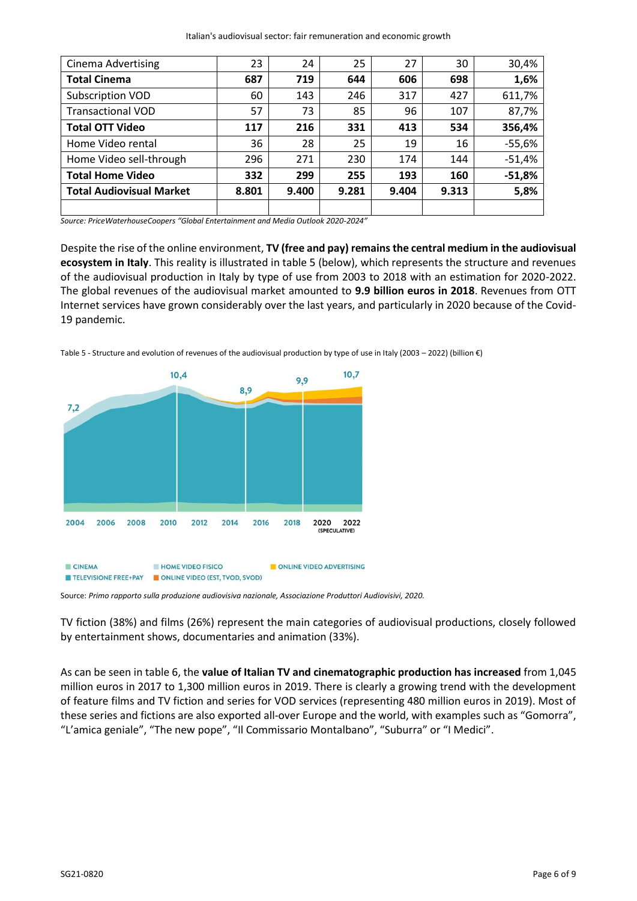| <b>Cinema Advertising</b>       | 23    | 24    | 25    | 27    | 30    | 30,4%    |
|---------------------------------|-------|-------|-------|-------|-------|----------|
| <b>Total Cinema</b>             | 687   | 719   | 644   | 606   | 698   | 1,6%     |
| Subscription VOD                | 60    | 143   | 246   | 317   | 427   | 611,7%   |
| <b>Transactional VOD</b>        | 57    | 73    | 85    | 96    | 107   | 87,7%    |
| <b>Total OTT Video</b>          | 117   | 216   | 331   | 413   | 534   | 356,4%   |
| Home Video rental               | 36    | 28    | 25    | 19    | 16    | $-55,6%$ |
| Home Video sell-through         | 296   | 271   | 230   | 174   | 144   | $-51,4%$ |
| <b>Total Home Video</b>         | 332   | 299   | 255   | 193   | 160   | $-51,8%$ |
| <b>Total Audiovisual Market</b> | 8.801 | 9.400 | 9.281 | 9.404 | 9.313 | 5,8%     |
|                                 |       |       |       |       |       |          |

*Source: PriceWaterhouseCoopers "Global Entertainment and Media Outlook 2020-2024"*

Despite the rise of the online environment, **TV (free and pay) remains the central medium in the audiovisual ecosystem in Italy**. This reality is illustrated in table 5 (below), which represents the structure and revenues of the audiovisual production in Italy by type of use from 2003 to 2018 with an estimation for 2020-2022. The global revenues of the audiovisual market amounted to **9.9 billion euros in 2018**. Revenues from OTT Internet services have grown considerably over the last years, and particularly in 2020 because of the Covid-19 pandemic.

Table 5 - Structure and evolution of revenues of the audiovisual production by type of use in Italy (2003 – 2022) (billion €)



Source: *Primo rapporto sulla produzione audiovisiva nazionale, Associazione Produttori Audiovisivi, 2020.*

TV fiction (38%) and films (26%) represent the main categories of audiovisual productions, closely followed by entertainment shows, documentaries and animation (33%).

As can be seen in table 6, the **value of Italian TV and cinematographic production has increased** from 1,045 million euros in 2017 to 1,300 million euros in 2019. There is clearly a growing trend with the development of feature films and TV fiction and series for VOD services (representing 480 million euros in 2019). Most of these series and fictions are also exported all-over Europe and the world, with examples such as "Gomorra", "L'amica geniale", "The new pope", "Il Commissario Montalbano", "Suburra" or "I Medici".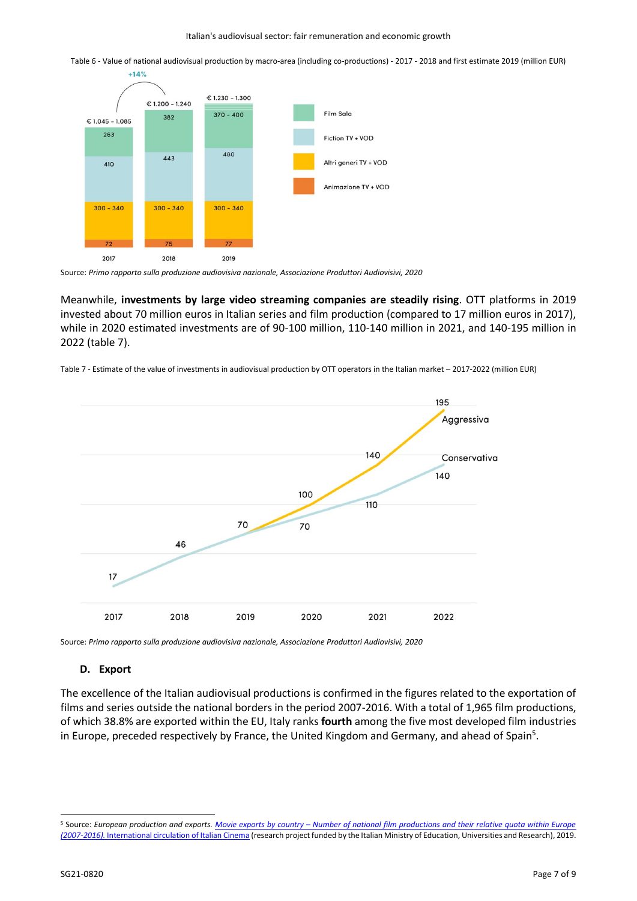Table 6 - Value of national audiovisual production by macro-area (including co-productions) - 2017 - 2018 and first estimate 2019 (million EUR)



 $+14%$ 

Source: *Primo rapporto sulla produzione audiovisiva nazionale, Associazione Produttori Audiovisivi, 2020*

Meanwhile, **investments by large video streaming companies are steadily rising**. OTT platforms in 2019 invested about 70 million euros in Italian series and film production (compared to 17 million euros in 2017), while in 2020 estimated investments are of 90-100 million, 110-140 million in 2021, and 140-195 million in 2022 (table 7).

Table 7 - Estimate of the value of investments in audiovisual production by OTT operators in the Italian market – 2017-2022 (million EUR)



Source: *Primo rapporto sulla produzione audiovisiva nazionale, Associazione Produttori Audiovisivi, 2020*

#### **D. Export**

The excellence of the Italian audiovisual productions is confirmed in the figures related to the exportation of films and series outside the national borders in the period 2007-2016. With a total of 1,965 film productions, of which 38.8% are exported within the EU, Italy ranks **fourth** among the five most developed film industries in Europe, preceded respectively by France, the United Kingdom and Germany, and ahead of Spain<sup>5</sup>.

<sup>&</sup>lt;sup>5</sup> Source: *European production and exports. Movie exports by country – Number of national film productions and their relative quota within Europe (2007-2016).* [International circulation of Italian Cinema](https://www.italiancinema.it/european-production-exports/) (research project funded by the Italian Ministry of Education, Universities and Research), 2019.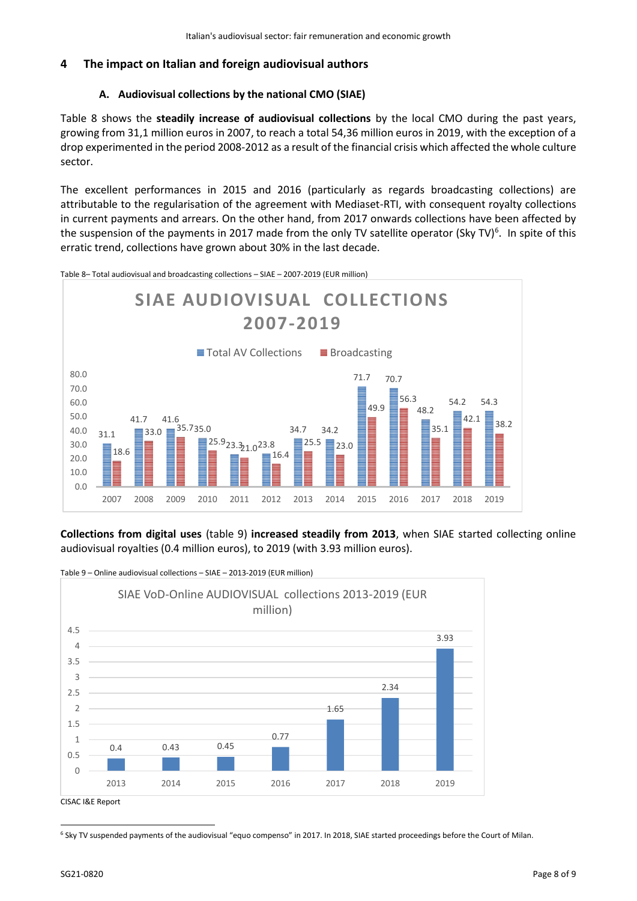# **4 The impact on Italian and foreign audiovisual authors**

## **A. Audiovisual collections by the national CMO (SIAE)**

Table 8 shows the **steadily increase of audiovisual collections** by the local CMO during the past years, growing from 31,1 million euros in 2007, to reach a total 54,36 million euros in 2019, with the exception of a drop experimented in the period 2008-2012 as a result of the financial crisis which affected the whole culture sector.

The excellent performances in 2015 and 2016 (particularly as regards broadcasting collections) are attributable to the regularisation of the agreement with Mediaset-RTI, with consequent royalty collections in current payments and arrears. On the other hand, from 2017 onwards collections have been affected by the suspension of the payments in 2017 made from the only TV satellite operator (Sky TV)<sup>6</sup>. In spite of this erratic trend, collections have grown about 30% in the last decade.

Table 8– Total audiovisual and broadcasting collections – SIAE – 2007-2019 (EUR million)



**Collections from digital uses** (table 9) **increased steadily from 2013**, when SIAE started collecting online audiovisual royalties (0.4 million euros), to 2019 (with 3.93 million euros).



Table 9 – Online audiovisual collections – SIAE – 2013-2019 (EUR million)

<sup>6</sup> Sky TV suspended payments of the audiovisual "equo compenso" in 2017. In 2018, SIAE started proceedings before the Court of Milan.